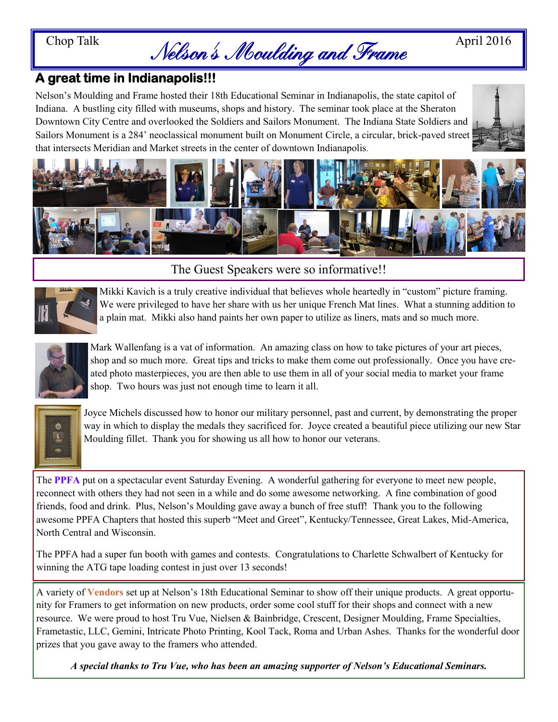# Chop Talk  $Nelson's Modiding and Frame$ <sup>April 2016</sup>

# **A great time in Indianapolis!!!**

Nelson's Moulding and Frame hosted their 18th Educational Seminar in Indianapolis, the state capitol of Indiana. A bustling city filled with museums, shops and history. The seminar took place at the Sheraton Downtown City Centre and overlooked the Soldiers and Sailors Monument. The Indiana State Soldiers and Sailors Monument is a 284' neoclassical monument built on Monument Circle, a circular, brick-paved street that intersects Meridian and Market streets in the center of downtown Indianapolis.





## The Guest Speakers were so informative!!



Mikki Kavich is a truly creative individual that believes whole heartedly in "custom" picture framing. We were privileged to have her share with us her unique French Mat lines. What a stunning addition to a plain mat. Mikki also hand paints her own paper to utilize as liners, mats and so much more.



Mark Wallenfang is a vat of information. An amazing class on how to take pictures of your art pieces, shop and so much more. Great tips and tricks to make them come out professionally. Once you have created photo masterpieces, you are then able to use them in all of your social media to market your frame shop. Two hours was just not enough time to learn it all.



Joyce Michels discussed how to honor our military personnel, past and current, by demonstrating the proper way in which to display the medals they sacrificed for. Joyce created a beautiful piece utilizing our new Star Moulding fillet. Thank you for showing us all how to honor our veterans.

The **PPFA** put on a spectacular event Saturday Evening. A wonderful gathering for everyone to meet new people, reconnect with others they had not seen in a while and do some awesome networking. A fine combination of good friends, food and drink. Plus, Nelson's Moulding gave away a bunch of free stuff! Thank you to the following awesome PPFA Chapters that hosted this superb "Meet and Greet", Kentucky/Tennessee, Great Lakes, Mid-America, North Central and Wisconsin.

The PPFA had a super fun booth with games and contests. Congratulations to Charlette Schwalbert of Kentucky for winning the ATG tape loading contest in just over 13 seconds!

A variety of **Vendors** set up at Nelson's 18th Educational Seminar to show off their unique products. A great opportunity for Framers to get information on new products, order some cool stuff for their shops and connect with a new resource. We were proud to host Tru Vue, Nielsen & Bainbridge, Crescent, Designer Moulding, Frame Specialties, Frametastic, LLC, Gemini, Intricate Photo Printing, Kool Tack, Roma and Urban Ashes. Thanks for the wonderful door prizes that you gave away to the framers who attended.

*A special thanks to Tru Vue, who has been an amazing supporter of Nelson's Educational Seminars.*